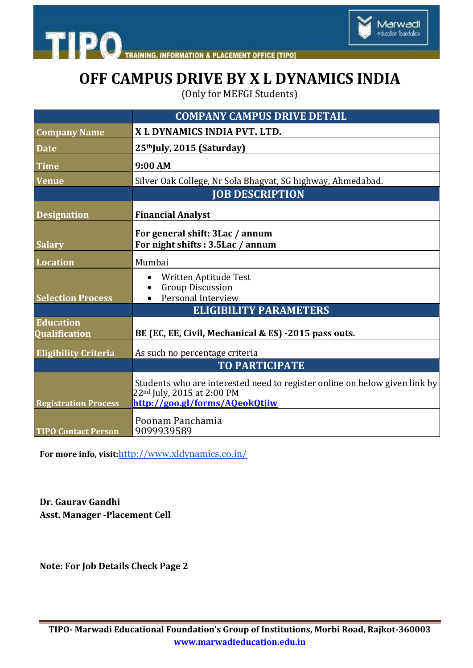



## **OFF CAMPUS DRIVE BY X L DYNAMICS INDIA**

(Only for MEFGI Students)

|                             | <b>COMPANY CAMPUS DRIVE DETAIL</b>                                                                                                                     |
|-----------------------------|--------------------------------------------------------------------------------------------------------------------------------------------------------|
| <b>Company Name</b>         | X L DYNAMICS INDIA PVT. LTD.                                                                                                                           |
| <b>Date</b>                 | 25thJuly, 2015 (Saturday)                                                                                                                              |
| <b>Time</b>                 | 9:00 AM                                                                                                                                                |
| <b>Venue</b>                | Silver Oak College, Nr Sola Bhagvat, SG highway, Ahmedabad.                                                                                            |
|                             | <b>JOB DESCRIPTION</b>                                                                                                                                 |
| <b>Designation</b>          | <b>Financial Analyst</b>                                                                                                                               |
|                             | For general shift: 3Lac / annum                                                                                                                        |
| <b>Salary</b>               | For night shifts: 3.5Lac / annum                                                                                                                       |
| <b>Location</b>             | Mumbai                                                                                                                                                 |
|                             | Written Aptitude Test                                                                                                                                  |
| <b>Selection Process</b>    | <b>Group Discussion</b><br>Personal Interview                                                                                                          |
|                             | <b>ELIGIBILITY PARAMETERS</b>                                                                                                                          |
| <b>Education</b>            |                                                                                                                                                        |
| <b>Qualification</b>        | BE (EC, EE, Civil, Mechanical & ES) -2015 pass outs.                                                                                                   |
| <b>Eligibility Criteria</b> | As such no percentage criteria                                                                                                                         |
|                             | <b>TO PARTICIPATE</b>                                                                                                                                  |
| <b>Registration Process</b> | Students who are interested need to register online on below given link by<br>22 <sup>nd</sup> July, 2015 at 2:00 PM<br>http://goo.gl/forms/AQeokQtjiw |
| <b>TIPO Contact Person</b>  | Poonam Panchamia<br>9099939589                                                                                                                         |

**For more info, visit:**<http://www.xldynamics.co.in/>

**Dr. Gaurav Gandhi Asst. Manager -Placement Cell**

**Note: For Job Details Check Page 2**